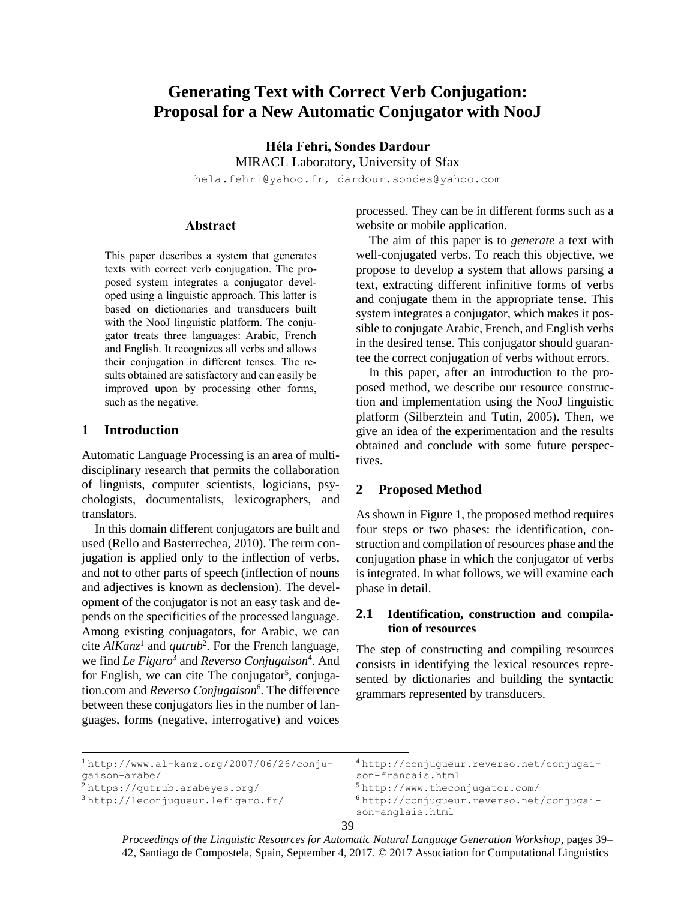# **Generating Text with Correct Verb Conjugation: Proposal for a New Automatic Conjugator with NooJ**

**Héla Fehri, Sondes Dardour** MIRACL Laboratory, University of Sfax

[hela.fehri@yahoo.fr,](mailto:hela.fehri@yahoo.fr) dardour.sondes@yahoo.com

# **Abstract**

This paper describes a system that generates texts with correct verb conjugation. The proposed system integrates a conjugator developed using a linguistic approach. This latter is based on dictionaries and transducers built with the NooJ linguistic platform. The conjugator treats three languages: Arabic, French and English. It recognizes all verbs and allows their conjugation in different tenses. The results obtained are satisfactory and can easily be improved upon by processing other forms, such as the negative.

# **1 Introduction**

Automatic Language Processing is an area of multidisciplinary research that permits the collaboration of linguists, computer scientists, logicians, psychologists, documentalists, lexicographers, and translators.

In this domain different conjugators are built and used (Rello and Basterrechea, 2010). The term conjugation is applied only to the inflection of verbs, and not to other parts of speech (inflection of nouns and adjectives is known as declension). The development of the conjugator is not an easy task and depends on the specificities of the processed language. Among existing conjuagators, for Arabic, we can cite  $AlKanz<sup>1</sup>$  and *qutrub*<sup>2</sup>. For the French language, we find *Le Figaro*<sup>3</sup> and *Reverso Conjugaison*<sup>4</sup> . And for English, we can cite The conjugator<sup>5</sup>, conjugation.com and *Reverso Conjugaison*<sup>6</sup> . The difference between these conjugators lies in the number of languages, forms (negative, interrogative) and voices

processed. They can be in different forms such as a website or mobile application.

The aim of this paper is to *generate* a text with well-conjugated verbs. To reach this objective, we propose to develop a system that allows parsing a text, extracting different infinitive forms of verbs and conjugate them in the appropriate tense. This system integrates a conjugator, which makes it possible to conjugate Arabic, French, and English verbs in the desired tense. This conjugator should guarantee the correct conjugation of verbs without errors.

In this paper, after an introduction to the proposed method, we describe our resource construction and implementation using the NooJ linguistic platform (Silberztein and Tutin, 2005). Then, we give an idea of the experimentation and the results obtained and conclude with some future perspectives.

### **2 Proposed Method**

As shown i[n Figure 1,](#page-1-0) the proposed method requires four steps or two phases: the identification, construction and compilation of resources phase and the conjugation phase in which the conjugator of verbs is integrated. In what follows, we will examine each phase in detail.

### **2.1 Identification, construction and compilation of resources**

The step of constructing and compiling resources consists in identifying the lexical resources represented by dictionaries and building the syntactic grammars represented by transducers.

```
l
1 http://www.al-kanz.org/2007/06/26/conju-
gaison-arabe/
2 https://qutrub.arabeyes.org/
3 http://leconjugueur.lefigaro.fr/
                                              4 http://conjugueur.reverso.net/conjugai-
                                              son-francais.html
                                              5 http://www.theconjugator.com/
                                              6 http://conjugueur.reverso.net/conjugai-
                                              son-anglais.html
```

```
39
```
*Proceedings of the Linguistic Resources for Automatic Natural Language Generation Workshop*, pages 39– 42, Santiago de Compostela, Spain, September 4, 2017. © 2017 Association for Computational Linguistics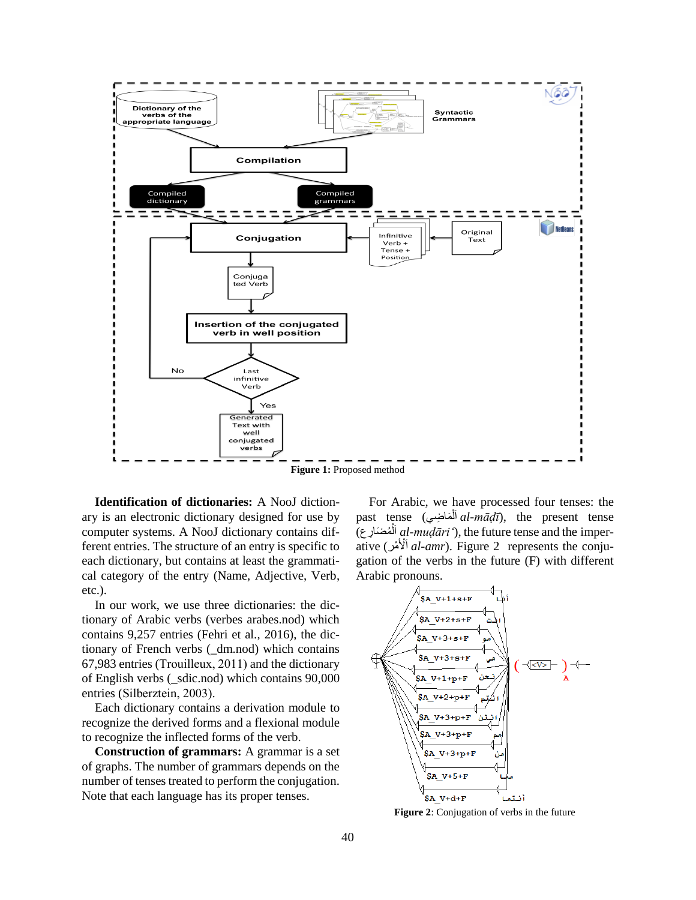

**Figure 1:** Proposed method

<span id="page-1-0"></span>**Identification of dictionaries:** A NooJ dictionary is an electronic dictionary designed for use by computer systems. A NooJ dictionary contains different entries. The structure of an entry is specific to each dictionary, but contains at least the grammatical category of the entry (Name, Adjective, Verb, etc.).

In our work, we use three dictionaries: the dictionary of Arabic verbs (verbes arabes.nod) which contains 9,257 entries (Fehri et al*.*, 2016), the dictionary of French verbs (\_dm.nod) which contains 67,983 entries (Trouilleux, 2011) and the dictionary of English verbs (\_sdic.nod) which contains 90,000 entries (Silberztein, 2003).

Each dictionary contains a derivation module to recognize the derived forms and a flexional module to recognize the inflected forms of the verb.

**Construction of grammars:** A grammar is a set of graphs. The number of grammars depends on the number of tenses treated to perform the conjugation. Note that each language has its proper tenses.

For Arabic, we have processed four tenses: the past tense (أَهَاضِي*ها al-māḍī*), the present tense ا َلا) ضَ مُْ يمض *al-muḍāriʻ*), the future tense and the [imper-](https://en.wikipedia.org/wiki/Imperative_mood)ا [ative](https://en.wikipedia.org/wiki/Imperative_mood) (لاْا يمامم *al-amr*). [Figure 2](#page-1-1) represents the conjugation of the verbs in the future (F) with different Arabic pronouns.



<span id="page-1-1"></span>**Figure 2**: Conjugation of verbs in the future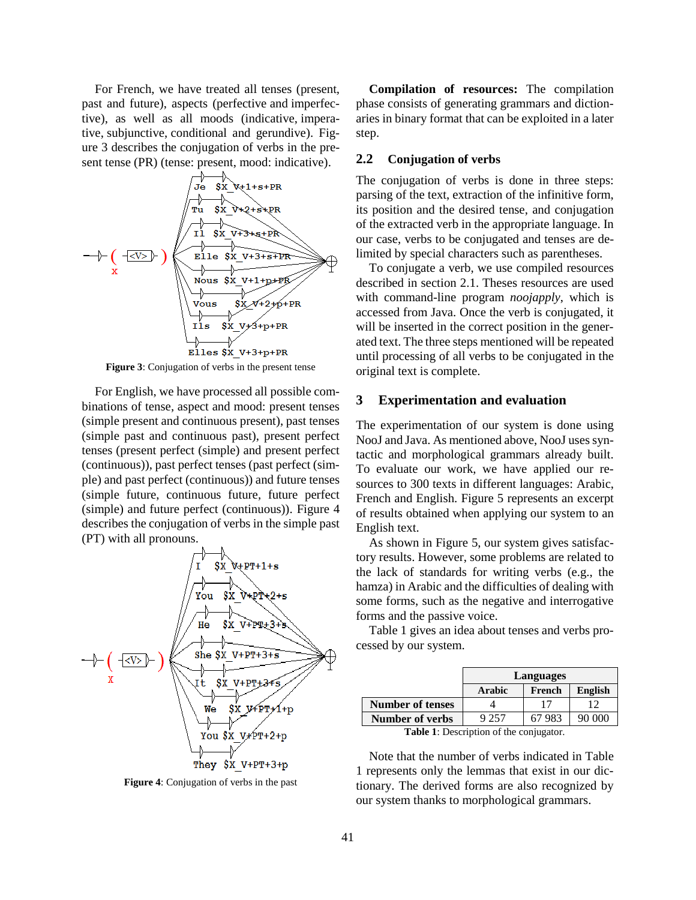For French, we have treated all tenses (present, past and future), aspects (perfective and imperfective), as well as all moods (indicative, imperative, subjunctive, conditional and gerundive). [Fig](#page-2-0)[ure 3](#page-2-0) describes the conjugation of verbs in the present tense (PR) (tense: present, mood: indicative).



**Figure 3**: Conjugation of verbs in the present tense

<span id="page-2-0"></span>For English, we have processed all possible combinations of tense, aspect and mood: present tenses (simple present and continuous present), past tenses (simple past and continuous past), present perfect tenses (present perfect (simple) and present perfect (continuous)), past perfect tenses (past perfect (simple) and past perfect (continuous)) and future tenses (simple future, continuous future, future perfect (simple) and future perfect (continuous)). [Figure 4](#page-2-1) describes the conjugation of verbs in the simple past (PT) with all pronouns.



<span id="page-2-1"></span>**Figure 4**: Conjugation of verbs in the past

**Compilation of resources:** The compilation phase consists of generating grammars and dictionaries in binary format that can be exploited in a later step.

#### **2.2 Conjugation of verbs**

The conjugation of verbs is done in three steps: parsing of the text, extraction of the infinitive form, its position and the desired tense, and conjugation of the extracted verb in the appropriate language. In our case, verbs to be conjugated and tenses are delimited by special characters such as parentheses.

To conjugate a verb, we use compiled resources described in section 2.1. Theses resources are used with command-line program *noojapply*, which is accessed from Java. Once the verb is conjugated, it will be inserted in the correct position in the generated text. The three steps mentioned will be repeated until processing of all verbs to be conjugated in the original text is complete.

# **3 Experimentation and evaluation**

The experimentation of our system is done using NooJ and Java. As mentioned above, NooJ uses syntactic and morphological grammars already built. To evaluate our work, we have applied our resources to 300 texts in different languages: Arabic, French and English. [Figure 5](#page-3-0) represents an excerpt of results obtained when applying our system to an English text.

As shown in [Figure 5,](#page-3-0) our system gives satisfactory results. However, some problems are related to the lack of standards for writing verbs (e.g., the hamza) in Arabic and the difficulties of dealing with some forms, such as the negative and interrogative forms and the passive voice.

Table 1 gives an idea about tenses and verbs processed by our system.

|                         | Languages     |        |                |
|-------------------------|---------------|--------|----------------|
|                         | <b>Arabic</b> | French | <b>English</b> |
| <b>Number of tenses</b> |               |        |                |
| <b>Number of verbs</b>  | 9 257         | 67983  | 90.000         |
| m 11 1 m<br>$C_{\pm}$   |               |        |                |

**Table 1**: Description of the conjugator.

<span id="page-2-2"></span>Note that the number of verbs indicated in [Table](#page-2-2)  [1](#page-2-2) represents only the lemmas that exist in our dictionary. The derived forms are also recognized by our system thanks to morphological grammars.